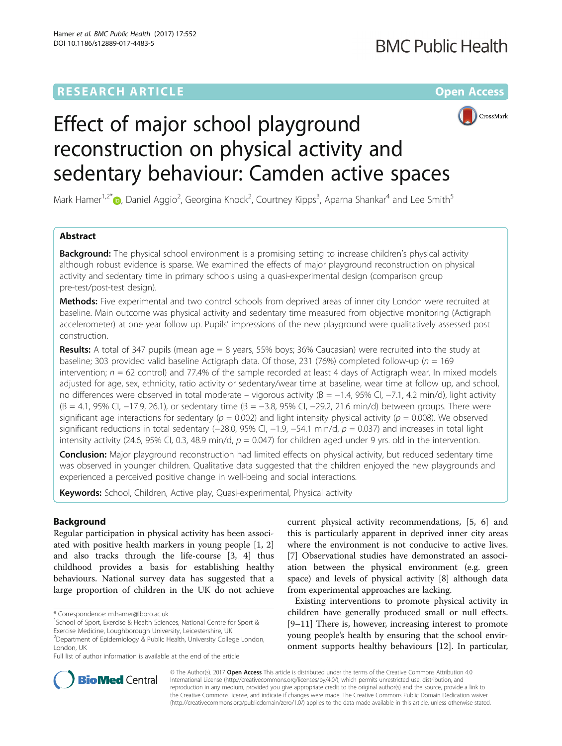## **RESEARCH ARTICLE Example 2014 12:30 The Contract of Contract ACCESS**



# Effect of major school playground reconstruction on physical activity and sedentary behaviour: Camden active spaces

Mark Hamer<sup>1,2\*</sup> D, Daniel Aggio<sup>2</sup>, Georgina Knock<sup>2</sup>, Courtney Kipps<sup>3</sup>, Aparna Shankar<sup>4</sup> and Lee Smith<sup>5</sup>

### Abstract

**Background:** The physical school environment is a promising setting to increase children's physical activity although robust evidence is sparse. We examined the effects of major playground reconstruction on physical activity and sedentary time in primary schools using a quasi-experimental design (comparison group pre-test/post-test design).

Methods: Five experimental and two control schools from deprived areas of inner city London were recruited at baseline. Main outcome was physical activity and sedentary time measured from objective monitoring (Actigraph accelerometer) at one year follow up. Pupils' impressions of the new playground were qualitatively assessed post construction.

**Results:** A total of 347 pupils (mean age  $= 8$  years, 55% boys; 36% Caucasian) were recruited into the study at baseline; 303 provided valid baseline Actigraph data. Of those, 231 (76%) completed follow-up ( $n = 169$ intervention;  $n = 62$  control) and 77.4% of the sample recorded at least 4 days of Actigraph wear. In mixed models adjusted for age, sex, ethnicity, ratio activity or sedentary/wear time at baseline, wear time at follow up, and school, no differences were observed in total moderate – vigorous activity (B = −1.4, 95% CI, −7.1, 4.2 min/d), light activity (B = 4.1, 95% CI, −17.9, 26.1), or sedentary time (B = −3.8, 95% CI, −29.2, 21.6 min/d) between groups. There were significant age interactions for sedentary ( $p = 0.002$ ) and light intensity physical activity ( $p = 0.008$ ). We observed significant reductions in total sedentary (−28.0, 95% CI, −1.9, −54.1 min/d,  $p = 0.037$ ) and increases in total light intensity activity (24.6, 95% CI, 0.3, 48.9 min/d,  $p = 0.047$ ) for children aged under 9 yrs. old in the intervention.

**Conclusion:** Major playground reconstruction had limited effects on physical activity, but reduced sedentary time was observed in younger children. Qualitative data suggested that the children enjoyed the new playgrounds and experienced a perceived positive change in well-being and social interactions.

Keywords: School, Children, Active play, Quasi-experimental, Physical activity

#### Background

Regular participation in physical activity has been associated with positive health markers in young people [[1, 2](#page-6-0)] and also tracks through the life-course [\[3](#page-6-0), [4\]](#page-6-0) thus childhood provides a basis for establishing healthy behaviours. National survey data has suggested that a large proportion of children in the UK do not achieve

current physical activity recommendations, [\[5](#page-6-0), [6\]](#page-6-0) and this is particularly apparent in deprived inner city areas where the environment is not conducive to active lives. [[7\]](#page-6-0) Observational studies have demonstrated an association between the physical environment (e.g. green space) and levels of physical activity [\[8](#page-6-0)] although data from experimental approaches are lacking.

Existing interventions to promote physical activity in children have generally produced small or null effects. [[9](#page-6-0)–[11\]](#page-6-0) There is, however, increasing interest to promote young people's health by ensuring that the school environment supports healthy behaviours [[12](#page-6-0)]. In particular,



© The Author(s). 2017 **Open Access** This article is distributed under the terms of the Creative Commons Attribution 4.0 International License [\(http://creativecommons.org/licenses/by/4.0/](http://creativecommons.org/licenses/by/4.0/)), which permits unrestricted use, distribution, and reproduction in any medium, provided you give appropriate credit to the original author(s) and the source, provide a link to the Creative Commons license, and indicate if changes were made. The Creative Commons Public Domain Dedication waiver [\(http://creativecommons.org/publicdomain/zero/1.0/](http://creativecommons.org/publicdomain/zero/1.0/)) applies to the data made available in this article, unless otherwise stated.

<sup>\*</sup> Correspondence: [m.hamer@lboro.ac.uk](mailto:m.hamer@lboro.ac.uk) <sup>1</sup>

<sup>&</sup>lt;sup>1</sup>School of Sport, Exercise & Health Sciences, National Centre for Sport & Exercise Medicine, Loughborough University, Leicestershire, UK

<sup>&</sup>lt;sup>2</sup>Department of Epidemiology & Public Health, University College London, London, UK

Full list of author information is available at the end of the article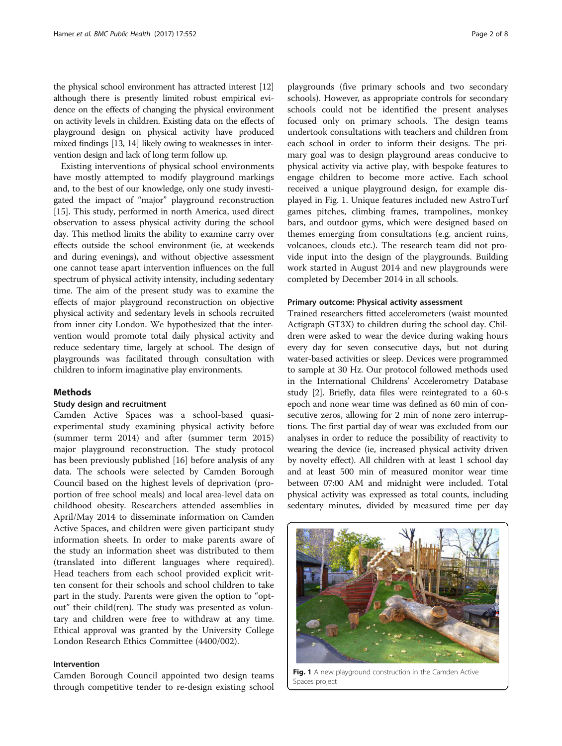the physical school environment has attracted interest [\[12](#page-6-0)] although there is presently limited robust empirical evidence on the effects of changing the physical environment on activity levels in children. Existing data on the effects of playground design on physical activity have produced mixed findings [[13](#page-6-0), [14\]](#page-6-0) likely owing to weaknesses in intervention design and lack of long term follow up.

Existing interventions of physical school environments have mostly attempted to modify playground markings and, to the best of our knowledge, only one study investigated the impact of "major" playground reconstruction [[15](#page-6-0)]. This study, performed in north America, used direct observation to assess physical activity during the school day. This method limits the ability to examine carry over effects outside the school environment (ie, at weekends and during evenings), and without objective assessment one cannot tease apart intervention influences on the full spectrum of physical activity intensity, including sedentary time. The aim of the present study was to examine the effects of major playground reconstruction on objective physical activity and sedentary levels in schools recruited from inner city London. We hypothesized that the intervention would promote total daily physical activity and reduce sedentary time, largely at school. The design of playgrounds was facilitated through consultation with children to inform imaginative play environments.

#### Methods

#### Study design and recruitment

Camden Active Spaces was a school-based quasiexperimental study examining physical activity before (summer term 2014) and after (summer term 2015) major playground reconstruction. The study protocol has been previously published [\[16\]](#page-6-0) before analysis of any data. The schools were selected by Camden Borough Council based on the highest levels of deprivation (proportion of free school meals) and local area-level data on childhood obesity. Researchers attended assemblies in April/May 2014 to disseminate information on Camden Active Spaces, and children were given participant study information sheets. In order to make parents aware of the study an information sheet was distributed to them (translated into different languages where required). Head teachers from each school provided explicit written consent for their schools and school children to take part in the study. Parents were given the option to "optout" their child(ren). The study was presented as voluntary and children were free to withdraw at any time. Ethical approval was granted by the University College London Research Ethics Committee (4400/002).

#### Intervention

Camden Borough Council appointed two design teams through competitive tender to re-design existing school playgrounds (five primary schools and two secondary schools). However, as appropriate controls for secondary schools could not be identified the present analyses focused only on primary schools. The design teams undertook consultations with teachers and children from each school in order to inform their designs. The primary goal was to design playground areas conducive to physical activity via active play, with bespoke features to engage children to become more active. Each school received a unique playground design, for example displayed in Fig. 1. Unique features included new AstroTurf games pitches, climbing frames, trampolines, monkey bars, and outdoor gyms, which were designed based on themes emerging from consultations (e.g. ancient ruins, volcanoes, clouds etc.). The research team did not provide input into the design of the playgrounds. Building work started in August 2014 and new playgrounds were completed by December 2014 in all schools.

#### Primary outcome: Physical activity assessment

Trained researchers fitted accelerometers (waist mounted Actigraph GT3X) to children during the school day. Children were asked to wear the device during waking hours every day for seven consecutive days, but not during water-based activities or sleep. Devices were programmed to sample at 30 Hz. Our protocol followed methods used in the International Childrens' Accelerometry Database study [\[2\]](#page-6-0). Briefly, data files were reintegrated to a 60-s epoch and none wear time was defined as 60 min of consecutive zeros, allowing for 2 min of none zero interruptions. The first partial day of wear was excluded from our analyses in order to reduce the possibility of reactivity to wearing the device (ie, increased physical activity driven by novelty effect). All children with at least 1 school day and at least 500 min of measured monitor wear time between 07:00 AM and midnight were included. Total physical activity was expressed as total counts, including sedentary minutes, divided by measured time per day



Fig. 1 A new playground construction in the Camden Active Spaces project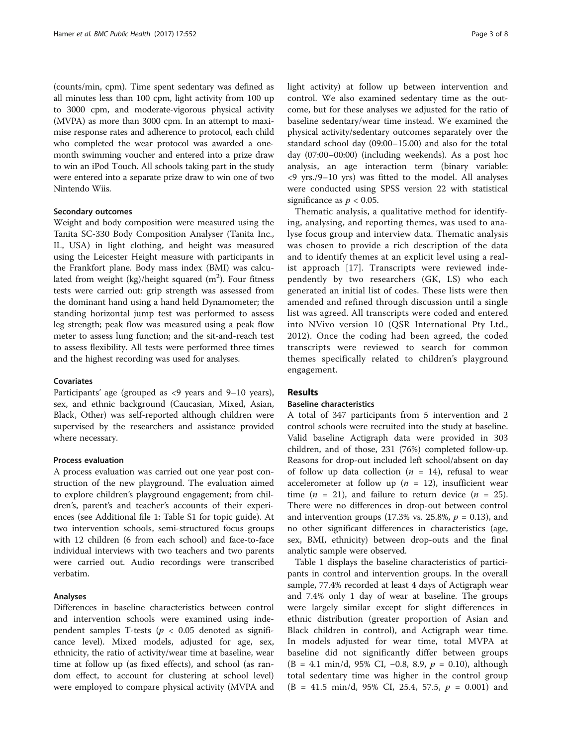(counts/min, cpm). Time spent sedentary was defined as all minutes less than 100 cpm, light activity from 100 up to 3000 cpm, and moderate-vigorous physical activity (MVPA) as more than 3000 cpm. In an attempt to maximise response rates and adherence to protocol, each child who completed the wear protocol was awarded a onemonth swimming voucher and entered into a prize draw to win an iPod Touch. All schools taking part in the study were entered into a separate prize draw to win one of two Nintendo Wiis.

#### Secondary outcomes

Weight and body composition were measured using the Tanita SC-330 Body Composition Analyser (Tanita Inc., IL, USA) in light clothing, and height was measured using the Leicester Height measure with participants in the Frankfort plane. Body mass index (BMI) was calculated from weight (kg)/height squared (m<sup>2</sup>). Four fitness tests were carried out: grip strength was assessed from the dominant hand using a hand held Dynamometer; the standing horizontal jump test was performed to assess leg strength; peak flow was measured using a peak flow meter to assess lung function; and the sit-and-reach test to assess flexibility. All tests were performed three times and the highest recording was used for analyses.

#### Covariates

Participants' age (grouped as <9 years and 9–10 years), sex, and ethnic background (Caucasian, Mixed, Asian, Black, Other) was self-reported although children were supervised by the researchers and assistance provided where necessary.

#### Process evaluation

A process evaluation was carried out one year post construction of the new playground. The evaluation aimed to explore children's playground engagement; from children's, parent's and teacher's accounts of their experiences (see Additional file [1:](#page-5-0) Table S1 for topic guide). At two intervention schools, semi-structured focus groups with 12 children (6 from each school) and face-to-face individual interviews with two teachers and two parents were carried out. Audio recordings were transcribed verbatim.

#### Analyses

Differences in baseline characteristics between control and intervention schools were examined using independent samples T-tests ( $p < 0.05$  denoted as significance level). Mixed models, adjusted for age, sex, ethnicity, the ratio of activity/wear time at baseline, wear time at follow up (as fixed effects), and school (as random effect, to account for clustering at school level) were employed to compare physical activity (MVPA and light activity) at follow up between intervention and control. We also examined sedentary time as the outcome, but for these analyses we adjusted for the ratio of baseline sedentary/wear time instead. We examined the physical activity/sedentary outcomes separately over the standard school day (09:00–15.00) and also for the total day (07:00–00:00) (including weekends). As a post hoc analysis, an age interaction term (binary variable: <9 yrs./9–10 yrs) was fitted to the model. All analyses were conducted using SPSS version 22 with statistical significance as  $p < 0.05$ .

Thematic analysis, a qualitative method for identifying, analysing, and reporting themes, was used to analyse focus group and interview data. Thematic analysis was chosen to provide a rich description of the data and to identify themes at an explicit level using a realist approach [[17\]](#page-6-0). Transcripts were reviewed independently by two researchers (GK, LS) who each generated an initial list of codes. These lists were then amended and refined through discussion until a single list was agreed. All transcripts were coded and entered into NVivo version 10 (QSR International Pty Ltd., 2012). Once the coding had been agreed, the coded transcripts were reviewed to search for common themes specifically related to children's playground engagement.

#### Results

#### Baseline characteristics

A total of 347 participants from 5 intervention and 2 control schools were recruited into the study at baseline. Valid baseline Actigraph data were provided in 303 children, and of those, 231 (76%) completed follow-up. Reasons for drop-out included left school/absent on day of follow up data collection ( $n = 14$ ), refusal to wear accelerometer at follow up ( $n = 12$ ), insufficient wear time ( $n = 21$ ), and failure to return device ( $n = 25$ ). There were no differences in drop-out between control and intervention groups (17.3% vs. 25.8%,  $p = 0.13$ ), and no other significant differences in characteristics (age, sex, BMI, ethnicity) between drop-outs and the final analytic sample were observed.

Table [1](#page-3-0) displays the baseline characteristics of participants in control and intervention groups. In the overall sample, 77.4% recorded at least 4 days of Actigraph wear and 7.4% only 1 day of wear at baseline. The groups were largely similar except for slight differences in ethnic distribution (greater proportion of Asian and Black children in control), and Actigraph wear time. In models adjusted for wear time, total MVPA at baseline did not significantly differ between groups  $(B = 4.1 \text{ min/d}, 95\% \text{ CI}, -0.8, 8.9, p = 0.10),$  although total sedentary time was higher in the control group  $(B = 41.5 \text{ min/d}, 95\% \text{ CI}, 25.4, 57.5, p = 0.001) \text{ and}$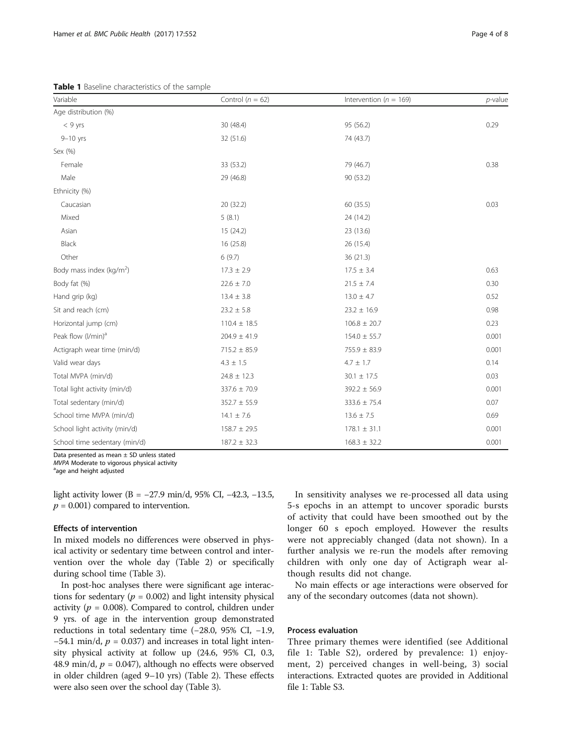<span id="page-3-0"></span>Table 1 Baseline characteristics of the sample

| Variable                             | Control ( $n = 62$ ) | Intervention ( $n = 169$ ) | $p$ -value |
|--------------------------------------|----------------------|----------------------------|------------|
| Age distribution (%)                 |                      |                            |            |
| $< 9$ yrs                            | 30 (48.4)            | 95 (56.2)                  | 0.29       |
| $9-10$ yrs                           | 32 (51.6)            | 74 (43.7)                  |            |
| Sex (%)                              |                      |                            |            |
| Female                               | 33 (53.2)            | 79 (46.7)                  | 0.38       |
| Male                                 | 29 (46.8)            | 90 (53.2)                  |            |
| Ethnicity (%)                        |                      |                            |            |
| Caucasian                            | 20 (32.2)            | 60 (35.5)                  | 0.03       |
| Mixed                                | 5(8.1)               | 24 (14.2)                  |            |
| Asian                                | 15 (24.2)            | 23 (13.6)                  |            |
| Black                                | 16 (25.8)            | 26 (15.4)                  |            |
| Other                                | 6(9.7)               | 36(21.3)                   |            |
| Body mass index (kg/m <sup>2</sup> ) | $17.3 \pm 2.9$       | $17.5 \pm 3.4$             | 0.63       |
| Body fat (%)                         | $22.6 \pm 7.0$       | $21.5 \pm 7.4$             | 0.30       |
| Hand grip (kg)                       | $13.4 \pm 3.8$       | $13.0 \pm 4.7$             | 0.52       |
| Sit and reach (cm)                   | $23.2 \pm 5.8$       | $23.2 \pm 16.9$            | 0.98       |
| Horizontal jump (cm)                 | $110.4 \pm 18.5$     | $106.8 \pm 20.7$           | 0.23       |
| Peak flow (I/min) <sup>a</sup>       | $204.9 \pm 41.9$     | $154.0 \pm 55.7$           | 0.001      |
| Actigraph wear time (min/d)          | $715.2 \pm 85.9$     | $755.9 \pm 83.9$           | 0.001      |
| Valid wear days                      | $4.3 \pm 1.5$        | $4.7\,\pm\,1.7$            | 0.14       |
| Total MVPA (min/d)                   | $24.8 \pm 12.3$      | $30.1 \pm 17.5$            | 0.03       |
| Total light activity (min/d)         | 337.6 ± 70.9         | $392.2 \pm 56.9$           | 0.001      |
| Total sedentary (min/d)              | $352.7 \pm 55.9$     | $333.6 \pm 75.4$           | 0.07       |
| School time MVPA (min/d)             | $14.1 \pm 7.6$       | $13.6 \pm 7.5$             | 0.69       |
| School light activity (min/d)        | $158.7 \pm 29.5$     | $178.1 \pm 31.1$           | 0.001      |
| School time sedentary (min/d)        | $187.2 \pm 32.3$     | $168.3 \pm 32.2$           | 0.001      |

Data presented as mean ± SD unless stated

MVPA Moderate to vigorous physical activity

age and height adjusted

light activity lower (B = −27.9 min/d, 95% CI, −42.3, −13.5,  $p = 0.001$ ) compared to intervention.

#### Effects of intervention

In mixed models no differences were observed in physical activity or sedentary time between control and intervention over the whole day (Table [2](#page-4-0)) or specifically during school time (Table [3](#page-4-0)).

In post-hoc analyses there were significant age interactions for sedentary ( $p = 0.002$ ) and light intensity physical activity ( $p = 0.008$ ). Compared to control, children under 9 yrs. of age in the intervention group demonstrated reductions in total sedentary time (−28.0, 95% CI, −1.9,  $-54.1$  min/d,  $p = 0.037$ ) and increases in total light intensity physical activity at follow up (24.6, 95% CI, 0.3, 48.9 min/d,  $p = 0.047$ ), although no effects were observed in older children (aged 9–10 yrs) (Table [2\)](#page-4-0). These effects were also seen over the school day (Table [3](#page-4-0)).

In sensitivity analyses we re-processed all data using 5-s epochs in an attempt to uncover sporadic bursts of activity that could have been smoothed out by the longer 60 s epoch employed. However the results were not appreciably changed (data not shown). In a further analysis we re-run the models after removing children with only one day of Actigraph wear although results did not change.

No main effects or age interactions were observed for any of the secondary outcomes (data not shown).

#### Process evaluation

Three primary themes were identified (see Additional file [1](#page-5-0): Table S2), ordered by prevalence: 1) enjoyment, 2) perceived changes in well-being, 3) social interactions. Extracted quotes are provided in Additional file [1](#page-5-0): Table S3.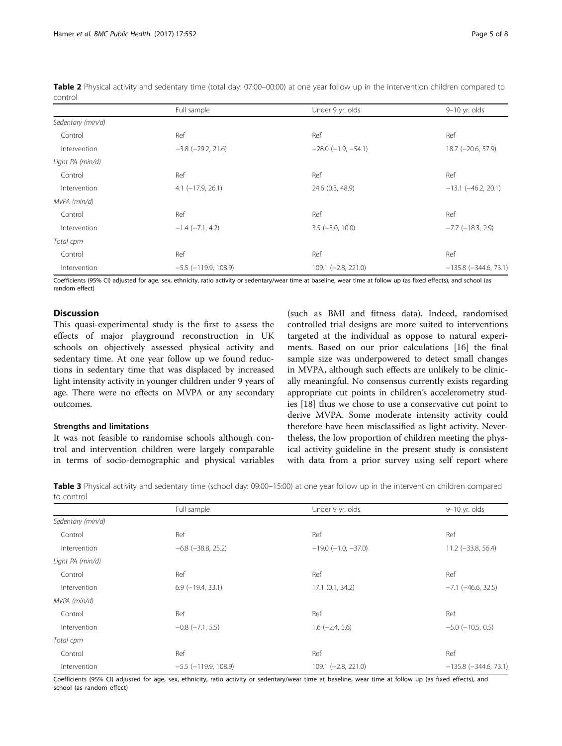<span id="page-4-0"></span>Table 2 Physical activity and sedentary time (total day: 07:00-00:00) at one year follow up in the intervention children compared to control

|                   | Full sample                | Under 9 yr. olds             | 9-10 yr. olds               |
|-------------------|----------------------------|------------------------------|-----------------------------|
| Sedentary (min/d) |                            |                              |                             |
| Control           | Ref                        | Ref                          | Ref                         |
| Intervention      | $-3.8$ $(-29.2, 21.6)$     | $-28.0$ ( $-1.9$ , $-54.1$ ) | 18.7 (-20.6, 57.9)          |
| Light PA (min/d)  |                            |                              |                             |
| Control           | Ref                        | Ref                          | Ref                         |
| Intervention      | $4.1$ (-17.9, 26.1)        | 24.6 (0.3, 48.9)             | $-13.1$ ( $-46.2$ , 20.1)   |
| MVPA (min/d)      |                            |                              |                             |
| Control           | Ref                        | Ref                          | Ref                         |
| Intervention      | $-1.4$ $(-7.1, 4.2)$       | $3.5$ (-3.0, 10.0)           | $-7.7$ ( $-18.3$ , 2.9)     |
| Total cpm         |                            |                              |                             |
| Control           | Ref                        | Ref                          | Ref                         |
| Intervention      | $-5.5$ ( $-119.9$ , 108.9) | $109.1 (-2.8, 221.0)$        | $-135.8$ ( $-344.6$ , 73.1) |

Coefficients (95% CI) adjusted for age, sex, ethnicity, ratio activity or sedentary/wear time at baseline, wear time at follow up (as fixed effects), and school (as random effect)

#### **Discussion**

This quasi-experimental study is the first to assess the effects of major playground reconstruction in UK schools on objectively assessed physical activity and sedentary time. At one year follow up we found reductions in sedentary time that was displaced by increased light intensity activity in younger children under 9 years of age. There were no effects on MVPA or any secondary outcomes.

#### Strengths and limitations

It was not feasible to randomise schools although control and intervention children were largely comparable in terms of socio-demographic and physical variables

(such as BMI and fitness data). Indeed, randomised controlled trial designs are more suited to interventions targeted at the individual as oppose to natural experiments. Based on our prior calculations [\[16\]](#page-6-0) the final sample size was underpowered to detect small changes in MVPA, although such effects are unlikely to be clinically meaningful. No consensus currently exists regarding appropriate cut points in children's accelerometry studies [[18\]](#page-6-0) thus we chose to use a conservative cut point to derive MVPA. Some moderate intensity activity could therefore have been misclassified as light activity. Nevertheless, the low proportion of children meeting the physical activity guideline in the present study is consistent with data from a prior survey using self report where

Table 3 Physical activity and sedentary time (school day: 09:00–15:00) at one year follow up in the intervention children compared to control

|                   | Full sample                | Under 9 yr. olds             | 9-10 yr. olds               |
|-------------------|----------------------------|------------------------------|-----------------------------|
| Sedentary (min/d) |                            |                              |                             |
| Control           | Ref                        | Ref                          | Ref                         |
| Intervention      | $-6.8$ ( $-38.8$ , 25.2)   | $-19.0$ ( $-1.0$ , $-37.0$ ) | $11.2 (-33.8, 56.4)$        |
| Light PA (min/d)  |                            |                              |                             |
| Control           | Ref                        | Ref                          | Ref                         |
| Intervention      | $6.9$ ( $-19.4$ , 33.1)    | $17.1$ $(0.1, 34.2)$         | $-7.1$ $(-46.6, 32.5)$      |
| MVPA (min/d)      |                            |                              |                             |
| Control           | Ref                        | Ref                          | Ref                         |
| Intervention      | $-0.8$ $(-7.1, 5.5)$       | $1.6$ ( $-2.4$ , 5.6)        | $-5.0$ ( $-10.5$ , 0.5)     |
| Total cpm         |                            |                              |                             |
| Control           | Ref                        | Ref                          | Ref                         |
| Intervention      | $-5.5$ ( $-119.9$ , 108.9) | 109.1 (-2.8, 221.0)          | $-135.8$ ( $-344.6$ , 73.1) |

Coefficients (95% CI) adjusted for age, sex, ethnicity, ratio activity or sedentary/wear time at baseline, wear time at follow up (as fixed effects), and school (as random effect)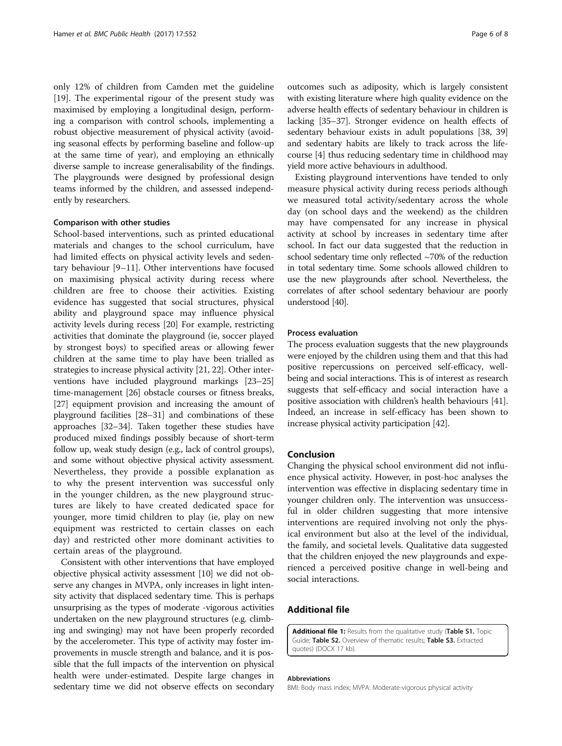<span id="page-5-0"></span>only 12% of children from Camden met the guideline [[19\]](#page-6-0). The experimental rigour of the present study was maximised by employing a longitudinal design, performing a comparison with control schools, implementing a robust objective measurement of physical activity (avoiding seasonal effects by performing baseline and follow-up at the same time of year), and employing an ethnically diverse sample to increase generalisability of the findings. The playgrounds were designed by professional design teams informed by the children, and assessed independently by researchers.

#### Comparison with other studies

School-based interventions, such as printed educational materials and changes to the school curriculum, have had limited effects on physical activity levels and sedentary behaviour [[9](#page-6-0)–[11](#page-6-0)]. Other interventions have focused on maximising physical activity during recess where children are free to choose their activities. Existing evidence has suggested that social structures, physical ability and playground space may influence physical activity levels during recess [[20\]](#page-6-0) For example, restricting activities that dominate the playground (ie, soccer played by strongest boys) to specified areas or allowing fewer children at the same time to play have been trialled as strategies to increase physical activity [[21](#page-6-0), [22](#page-6-0)]. Other interventions have included playground markings [\[23](#page-6-0)–[25](#page-6-0)] time-management [\[26](#page-6-0)] obstacle courses or fitness breaks, [[27](#page-6-0)] equipment provision and increasing the amount of playground facilities [\[28](#page-7-0)–[31\]](#page-7-0) and combinations of these approaches [\[32](#page-7-0)–[34](#page-7-0)]. Taken together these studies have produced mixed findings possibly because of short-term follow up, weak study design (e.g., lack of control groups), and some without objective physical activity assessment. Nevertheless, they provide a possible explanation as to why the present intervention was successful only in the younger children, as the new playground structures are likely to have created dedicated space for younger, more timid children to play (ie, play on new equipment was restricted to certain classes on each day) and restricted other more dominant activities to certain areas of the playground.

Consistent with other interventions that have employed objective physical activity assessment [\[10](#page-6-0)] we did not observe any changes in MVPA, only increases in light intensity activity that displaced sedentary time. This is perhaps unsurprising as the types of moderate -vigorous activities undertaken on the new playground structures (e.g. climbing and swinging) may not have been properly recorded by the accelerometer. This type of activity may foster improvements in muscle strength and balance, and it is possible that the full impacts of the intervention on physical health were under-estimated. Despite large changes in sedentary time we did not observe effects on secondary outcomes such as adiposity, which is largely consistent with existing literature where high quality evidence on the adverse health effects of sedentary behaviour in children is lacking [\[35](#page-7-0)–[37](#page-7-0)]. Stronger evidence on health effects of sedentary behaviour exists in adult populations [[38](#page-7-0), [39](#page-7-0)] and sedentary habits are likely to track across the lifecourse [\[4\]](#page-6-0) thus reducing sedentary time in childhood may yield more active behaviours in adulthood.

Existing playground interventions have tended to only measure physical activity during recess periods although we measured total activity/sedentary across the whole day (on school days and the weekend) as the children may have compensated for any increase in physical activity at school by increases in sedentary time after school. In fact our data suggested that the reduction in school sedentary time only reflected ~70% of the reduction in total sedentary time. Some schools allowed children to use the new playgrounds after school. Nevertheless, the correlates of after school sedentary behaviour are poorly understood [\[40](#page-7-0)].

#### Process evaluation

The process evaluation suggests that the new playgrounds were enjoyed by the children using them and that this had positive repercussions on perceived self-efficacy, wellbeing and social interactions. This is of interest as research suggests that self-efficacy and social interaction have a positive association with children's health behaviours [[41](#page-7-0)]. Indeed, an increase in self-efficacy has been shown to increase physical activity participation [[42](#page-7-0)].

#### Conclusion

Changing the physical school environment did not influence physical activity. However, in post-hoc analyses the intervention was effective in displacing sedentary time in younger children only. The intervention was unsuccessful in older children suggesting that more intensive interventions are required involving not only the physical environment but also at the level of the individual, the family, and societal levels. Qualitative data suggested that the children enjoyed the new playgrounds and experienced a perceived positive change in well-being and social interactions.

#### Additional file

[Additional file 1:](dx.doi.org/10.1186/s12889-017-4483-5) Results from the qualitative study (Table S1. Topic Guide; Table S2. Overview of thematic results; Table S3. Extracted quotes) (DOCX 17 kb).

#### Abbreviations

BMI: Body mass index; MVPA: Moderate-vigorous physical activity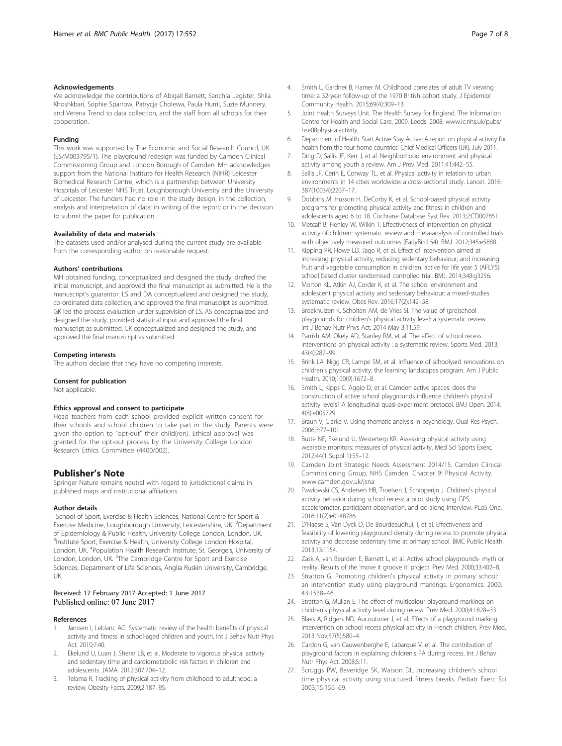#### <span id="page-6-0"></span>Acknowledgements

We acknowledge the contributions of Abigail Barnett, Sanchia Legister, Shila Khoshkbari, Sophie Sparrow, Patrycja Cholewa, Paula Hurril, Suzie Munnery, and Verena Trend to data collection, and the staff from all schools for their cooperation.

#### Funding

This work was supported by The Economic and Social Research Council, UK (ES/M003795/1). The playground redesign was funded by Camden Clinical Commissioning Group and London Borough of Camden. MH acknowledges support from the National Institute for Health Research (NIHR) Leicester Biomedical Research Centre, which is a partnership between University Hospitals of Leicester NHS Trust, Loughborough University and the University of Leicester. The funders had no role in the study design; in the collection, analysis and interpretation of data; in writing of the report; or in the decision to submit the paper for publication.

#### Availability of data and materials

The datasets used and/or analysed during the current study are available from the corresponding author on reasonable request.

#### Authors' contributions

MH obtained funding, conceptualized and designed the study, drafted the initial manuscript, and approved the final manuscript as submitted. He is the manuscript's guarantor. LS and DA conceptualized and designed the study, co-ordinated data collection, and approved the final manuscript as submitted. GK led the process evaluation under supervision of LS. AS conceptualized and designed the study, provided statistical input and approved the final manuscript as submitted. CK conceptualized and designed the study, and approved the final manuscript as submitted.

#### Competing interests

The authors declare that they have no competing interests.

#### Consent for publication

Not applicable.

#### Ethics approval and consent to participate

Head teachers from each school provided explicit written consent for their schools and school children to take part in the study. Parents were given the option to "opt-out" their child(ren). Ethical approval was granted for the opt-out process by the University College London Research Ethics Committee (4400/002).

#### Publisher's Note

Springer Nature remains neutral with regard to jurisdictional claims in published maps and institutional affiliations.

#### Author details

<sup>1</sup>School of Sport, Exercise & Health Sciences, National Centre for Sport & Exercise Medicine, Loughborough University, Leicestershire, UK. <sup>2</sup>Department of Epidemiology & Public Health, University College London, London, UK. <sup>3</sup>Institute Sport, Exercise & Health, University College London Hospital, London, UK. <sup>4</sup>Population Health Research Institute, St. George's, University of London, London, UK. <sup>5</sup>The Cambridge Centre for Sport and Exercise Sciences, Department of Life Sciences, Anglia Ruskin University, Cambridge, UK.

# Received: 17 February 2017 Accepted: 1 June 2017<br>Published online: 07 June 2017

#### References

- 1. Janssen I, Leblanc AG. Systematic review of the health benefits of physical activity and fitness in school-aged children and youth. Int J Behav Nutr Phys Act. 2010;7:40.
- 2. Ekelund U, Luan J, Sherar LB, et al. Moderate to vigorous physical activity and sedentary time and cardiometabolic risk factors in children and adolescents. JAMA. 2012;307:704–12.
- 3. Telama R. Tracking of physical activity from childhood to adulthood: a review. Obesity Facts. 2009;2:187–95.
- 4. Smith L, Gardner B, Hamer M. Childhood correlates of adult TV viewing time: a 32-year follow-up of the 1970 British cohort study. J Epidemiol Community Health. 2015;69(4):309–13.
- 5. Joint Health Surveys Unit. The Health Survey for England. The Information Centre for Health and Social Care, 2009, Leeds. 2008; [www.ic.nhs.uk/pubs/](http://www.ic.nhs.uk/pubs/hse08physicalactivity) [hse08physicalactivity](http://www.ic.nhs.uk/pubs/hse08physicalactivity)
- 6. Department of Health. Start Active Stay Active: A report on physical activity for health from the four home countries' Chief Medical Officers (UK). July 2011.
- 7. Ding D, Sallis JF, Kerr J, et al. Neighborhood environment and physical activity among youth a review. Am J Prev Med. 2011;41:442–55.
- Sallis JF, Cerin E, Conway TL, et al. Physical activity in relation to urban environments in 14 cities worldwide: a cross-sectional study. Lancet. 2016; 387(10034):2207–17.
- 9. Dobbins M, Husson H, DeCorby K, et al. School-based physical activity programs for promoting physical activity and fitness in children and adolescents aged 6 to 18. Cochrane Database Syst Rev. 2013;2:CD007651.
- 10. Metcalf B, Henley W, Wilkin T. Effectiveness of intervention on physical activity of children: systematic review and meta-analysis of controlled trials with objectively measured outcomes (EarlyBird 54). BMJ. 2012;345:e5888.
- 11. Kipping RR, Howe LD, Jago R, et al. Effect of intervention aimed at increasing physical activity, reducing sedentary behaviour, and increasing fruit and vegetable consumption in children: active for life year 5 (AFLY5) school based cluster randomised controlled trial. BMJ. 2014;348:g3256.
- 12. Morton KL, Atkin AJ, Corder K, et al. The school environment and adolescent physical activity and sedentary behaviour: a mixed-studies systematic review. Obes Rev. 2016;17(2):142–58.
- 13. Broekhuizen K, Scholten AM, de Vries SI. The value of (pre)school playgrounds for children's physical activity level: a systematic review. Int J Behav Nutr Phys Act. 2014 May 3;11:59.
- 14. Parrish AM, Okely AD, Stanley RM, et al. The effect of school recess interventions on physical activity : a systematic review. Sports Med. 2013; 43(4):287–99.
- 15. Brink LA, Nigg CR, Lampe SM, et al. Influence of schoolyard renovations on children's physical activity: the learning landscapes program. Am J Public Health. 2010;100(9):1672–8.
- 16. Smith L, Kipps C, Aggio D, et al. Camden active spaces: does the construction of active school playgrounds influence children's physical activity levels? A longitudinal quasi-experiment protocol. BMJ Open. 2014; 4(8):e005729.
- 17. Braun V, Clarke V. Using thematic analysis in psychology. Qual Res Psych. 2006;3:77–101.
- 18. Butte NF, Ekelund U, Westerterp KR. Assessing physical activity using wearable monitors: measures of physical activity. Med Sci Sports Exerc. 2012;44(1 Suppl 1):S5–12.
- 19. Camden Joint Strategic Needs Assessment 2014/15. Camden Clinical Commissioning Group, NHS Camden. Chapter 9: Physical Activity. [www.camden.gov.uk/jsna](http://www.camden.gov.uk/jsna)
- 20. Pawlowski CS, Andersen HB, Troelsen J, Schipperijn J. Children's physical activity behavior during school recess: a pilot study using GPS, accelerometer, participant observation, and go-along interview. PLoS One. 2016;11(2):e0148786.
- 21. D'Haese S, Van Dyck D, De Bourdeaudhuij I, et al. Effectiveness and feasibility of lowering playground density during recess to promote physical activity and decrease sedentary time at primary school. BMC Public Health. 2013;13:1154.
- 22. Zask A, van Beurden E, Barnett L, et al. Active school playgrounds- myth or reality. Results of the 'move it groove it' project. Prev Med. 2000;33:402–8.
- 23. Stratton G. Promoting children's physical activity in primary school: an intervention study using playground markings. Ergonomics. 2000; 43:1538–46.
- 24. Stratton G, Mullan E. The effect of multicolour playground markings on children's physical activity level during recess. Prev Med. 2000;41:828–33.
- 25. Blaes A, Ridgers ND, Aucouturier J, et al. Effects of a playground marking intervention on school recess physical activity in French children. Prev Med. 2013 Nov;57(5):580–4.
- 26. Cardon G, van Cauwenberghe E, Labarque V, et al. The contribution of playground factors in explaining children's PA during recess. Int J Behav Nutr Phys Act. 2008;5:11.
- 27. Scruggs PW, Beveridge SK, Watson DL. Increasing children's school time physical activity using structured fitness breaks. Pediatr Exerc Sci. 2003;15:156–69.